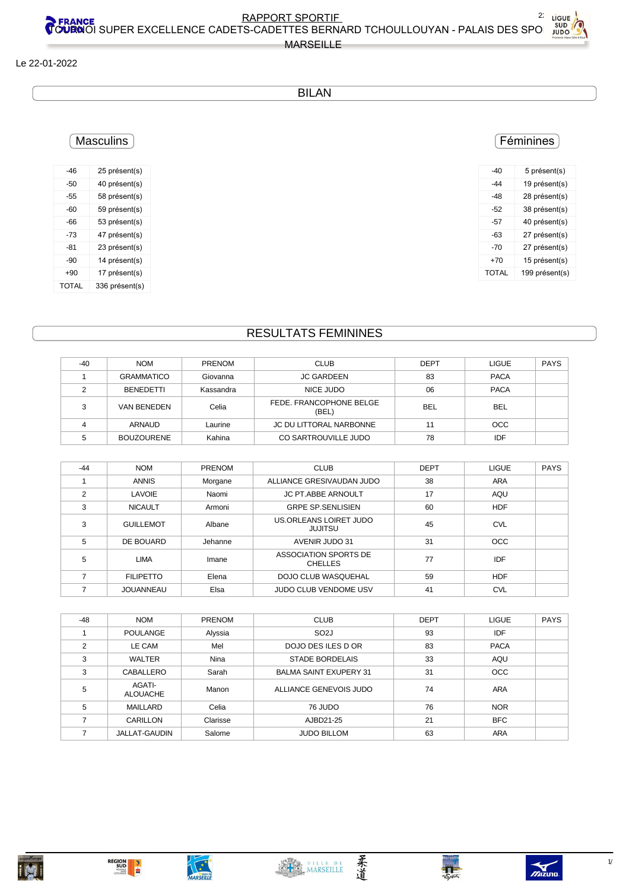柔道

MARSETTI

**REGION<br>SUD<br>CONSIDERED** 

BILAN

#### Le 22-01-2022

### **Masculins**

| -46          | 25 présent(s)  |
|--------------|----------------|
| -50          | 40 présent(s)  |
| -55          | 58 présent(s)  |
| -60          | 59 présent(s)  |
| -66          | 53 présent(s)  |
| -73          | 47 présent(s)  |
| -81          | 23 présent(s)  |
| -90          | 14 présent(s)  |
| $+90$        | 17 présent(s)  |
| <b>TOTAL</b> | 336 présent(s) |

#### RESULTATS FEMININES

| $-40$ | <b>NOM</b>        | <b>PRENOM</b> | <b>CLUB</b>                      | <b>DEPT</b> | <b>LIGUE</b> | <b>PAYS</b> |
|-------|-------------------|---------------|----------------------------------|-------------|--------------|-------------|
|       | <b>GRAMMATICO</b> | Giovanna      | <b>JC GARDEEN</b>                | 83          | <b>PACA</b>  |             |
|       | <b>BENEDETTI</b>  | Kassandra     | NICE JUDO                        | 06          | <b>PACA</b>  |             |
| 3     | VAN BENEDEN       | Celia         | FEDE. FRANCOPHONE BELGE<br>(BEL) | BEL         | <b>BEL</b>   |             |
|       | ARNAUD            | Laurine       | JC DU LITTORAL NARBONNE          | 11          | <b>OCC</b>   |             |
|       | <b>BOUZOURENE</b> | Kahina        | CO SARTROUVILLE JUDO             | 78          | IDF          |             |

| $-44$ | <b>NOM</b>       | <b>PRENOM</b> | <b>CLUB</b>                              | <b>DEPT</b> | <b>LIGUE</b> | <b>PAYS</b> |
|-------|------------------|---------------|------------------------------------------|-------------|--------------|-------------|
|       | <b>ANNIS</b>     | Morgane       | ALLIANCE GRESIVAUDAN JUDO                | 38          | <b>ARA</b>   |             |
| 2     | LAVOIE           | Naomi         | JC PT.ABBE ARNOULT                       | 17          | AQU          |             |
| 3     | <b>NICAULT</b>   | Armoni        | <b>GRPE SP SENLISIEN</b>                 | 60          | HDF          |             |
| 3     | <b>GUILLEMOT</b> | Albane        | US.ORLEANS LOIRET JUDO<br><b>JUJITSU</b> | 45          | <b>CVL</b>   |             |
| 5     | DE BOUARD        | Jehanne       | AVENIR JUDO 31                           | 31          | <b>OCC</b>   |             |
| 5     | <b>LIMA</b>      | Imane         | ASSOCIATION SPORTS DE<br><b>CHELLES</b>  | 77          | IDF          |             |
| 7     | <b>FILIPETTO</b> | Elena         | DOJO CLUB WASQUEHAL                      | 59          | <b>HDF</b>   |             |
|       | JOUANNEAU        | Elsa          | JUDO CLUB VENDOME USV                    | 41          | <b>CVL</b>   |             |

| $-48$         | <b>NOM</b>                | <b>PRENOM</b> | <b>CLUB</b>                   | <b>DEPT</b> | <b>LIGUE</b> | <b>PAYS</b> |
|---------------|---------------------------|---------------|-------------------------------|-------------|--------------|-------------|
|               | <b>POULANGE</b>           | Alyssia       | SO <sub>2</sub> J             | 93          | IDF          |             |
| $\mathcal{P}$ | LE CAM                    | Mel           | DOJO DES ILES D OR            | 83          | <b>PACA</b>  |             |
| 3             | <b>WALTER</b>             | Nina          | <b>STADE BORDELAIS</b>        | 33          | AQU          |             |
| 3             | <b>CABALLERO</b>          | Sarah         | <b>BALMA SAINT EXUPERY 31</b> | 31          | <b>OCC</b>   |             |
| 5             | AGATI-<br><b>ALOUACHE</b> | Manon         | ALLIANCE GENEVOIS JUDO        | 74          | <b>ARA</b>   |             |
| 5             | MAILLARD                  | Celia         | 76 JUDO                       | 76          | <b>NOR</b>   |             |
|               | CARILLON                  | Clarisse      | AJBD21-25                     | 21          | <b>BFC</b>   |             |
|               | <b>JALLAT-GAUDIN</b>      | Salome        | <b>JUDO BILLOM</b>            | 63          | <b>ARA</b>   |             |

| JE | <b>PAYS</b> |
|----|-------------|
| A: |             |
| A: |             |
| I  |             |

#### Féminines

| -40   | 5 présent(s)   |
|-------|----------------|
| -44   | 19 présent(s)  |
| -48   | 28 présent(s)  |
| -52   | 38 présent(s)  |
| -57   | 40 présent(s)  |
| -63   | 27 présent(s)  |
| -70   | 27 présent(s)  |
| +70   | 15 présent(s)  |
| TOTAI | 199 présent(s) |
|       |                |

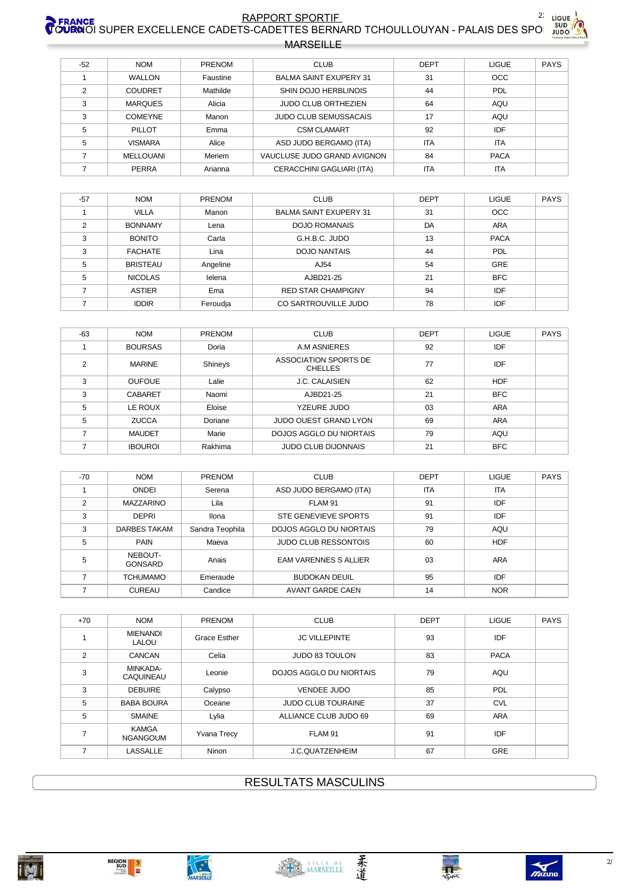# RAPPORT SPORTIF FRANCE 22 LIGUE



| <b>MARSEILLE</b> |  |
|------------------|--|
|                  |  |

| $-52$ | <b>NOM</b>     | <b>PRENOM</b> | <b>CLUB</b>                   | <b>DEPT</b> | <b>LIGUE</b> | <b>PAYS</b> |
|-------|----------------|---------------|-------------------------------|-------------|--------------|-------------|
|       | <b>WALLON</b>  | Faustine      | <b>BALMA SAINT EXUPERY 31</b> | 31          | <b>OCC</b>   |             |
| 2     | COUDRET        | Mathilde      | SHIN DOJO HERBLINOIS          | 44          | <b>PDL</b>   |             |
| 3     | <b>MARQUES</b> | Alicia        | <b>JUDO CLUB ORTHEZIEN</b>    | 64          | AQU          |             |
| 3     | <b>COMEYNE</b> | Manon         | <b>JUDO CLUB SEMUSSACAIS</b>  | 17          | AQU          |             |
| 5     | PILLOT         | Emma          | <b>CSM CLAMART</b>            | 92          | IDF          |             |
| 5     | <b>VISMARA</b> | Alice         | ASD JUDO BERGAMO (ITA)        | <b>ITA</b>  | <b>ITA</b>   |             |
|       | MELLOUANI      | Meriem        | VAUCLUSE JUDO GRAND AVIGNON   | 84          | <b>PACA</b>  |             |
|       | PERRA          | Arianna       | CERACCHINI GAGLIARI (ITA)     | <b>ITA</b>  | <b>ITA</b>   |             |

| $-57$         | <b>NOM</b>      | <b>PRENOM</b> | <b>CLUB</b>                   | <b>DEPT</b> | <b>LIGUE</b> | PAYS |
|---------------|-----------------|---------------|-------------------------------|-------------|--------------|------|
|               | <b>VILLA</b>    | Manon         | <b>BALMA SAINT EXUPERY 31</b> | 31          | <b>OCC</b>   |      |
| $\mathcal{D}$ | <b>BONNAMY</b>  | Lena          | <b>DOJO ROMANAIS</b>          | DA          | <b>ARA</b>   |      |
| 3             | <b>BONITO</b>   | Carla         | G.H.B.C. JUDO                 | 13          | <b>PACA</b>  |      |
| 3             | <b>FACHATE</b>  | Lina          | <b>DOJO NANTAIS</b>           | 44          | PDL          |      |
| 5             | <b>BRISTEAU</b> | Angeline      | AJ54                          | 54          | GRE          |      |
| 5             | <b>NICOLAS</b>  | lelena        | AJBD21-25                     | 21          | <b>BFC</b>   |      |
|               | <b>ASTIER</b>   | Ema           | <b>RED STAR CHAMPIGNY</b>     | 94          | IDF          |      |
|               | <b>IDDIR</b>    | Feroudia      | CO SARTROUVILLE JUDO          | 78          | IDF          |      |

| $-63$          | <b>NOM</b>     | PRENOM  | <b>CLUB</b>                             | <b>DEPT</b> | <b>LIGUE</b> | <b>PAYS</b> |
|----------------|----------------|---------|-----------------------------------------|-------------|--------------|-------------|
|                | <b>BOURSAS</b> | Doria   | A.M ASNIERES                            | 92          | IDF          |             |
| $\mathfrak{p}$ | <b>MARINE</b>  | Shineys | ASSOCIATION SPORTS DE<br><b>CHELLES</b> | 77          | <b>IDF</b>   |             |
| 3              | <b>OUFOUE</b>  | Lalie   | J.C. CALAISIEN                          | 62          | <b>HDF</b>   |             |
| 3              | <b>CABARET</b> | Naomi   | AJBD21-25                               | 21          | <b>BFC</b>   |             |
| 5              | LE ROUX        | Eloise  | YZEURE JUDO                             | 03          | ARA          |             |
| 5              | <b>ZUCCA</b>   | Doriane | <b>JUDO OUEST GRAND LYON</b>            | 69          | ARA          |             |
|                | <b>MAUDET</b>  | Marie   | DOJOS AGGLO DU NIORTAIS                 | 79          | AQU          |             |
|                | <b>IBOUROI</b> | Rakhima | <b>JUDO CLUB DIJONNAIS</b>              | 21          | <b>BFC</b>   |             |

| -70            | <b>NOM</b>                | PRENOM          | <b>CLUB</b>                    | <b>DEPT</b> | <b>LIGUE</b> | <b>PAYS</b> |
|----------------|---------------------------|-----------------|--------------------------------|-------------|--------------|-------------|
|                | ONDEI                     | Serena          | ASD JUDO BERGAMO (ITA)         | <b>ITA</b>  | <b>ITA</b>   |             |
| $\mathfrak{p}$ | <b>MAZZARINO</b>          | Lila            | FLAM 91                        | 91          | IDF          |             |
| 3              | <b>DEPRI</b>              | Ilona           | STE GENEVIEVE SPORTS           | 91          | <b>IDF</b>   |             |
| 3              | DARBES TAKAM              | Sandra Teophila | <b>DOJOS AGGLO DU NIORTAIS</b> | 79          | AQU          |             |
| 5              | <b>PAIN</b>               | Maeva           | <b>JUDO CLUB RESSONTOIS</b>    | 60          | <b>HDF</b>   |             |
| 5              | NEBOUT-<br><b>GONSARD</b> | Anais           | <b>EAM VARENNES S ALLIER</b>   | 03          | <b>ARA</b>   |             |
|                | <b>TCHUMAMO</b>           | Emeraude        | <b>BUDOKAN DEUIL</b>           | 95          | IDF          |             |
|                | <b>CUREAU</b>             | Candice         | <b>AVANT GARDE CAEN</b>        | 14          | <b>NOR</b>   |             |

| $+70$          | <b>NOM</b>                      | <b>PRENOM</b>       | <b>CLUB</b>                    | <b>DEPT</b> | <b>LIGUE</b> | <b>PAYS</b> |
|----------------|---------------------------------|---------------------|--------------------------------|-------------|--------------|-------------|
|                | <b>MIENANDI</b><br>LALOU        | <b>Grace Esther</b> | <b>JC VILLEPINTE</b>           | 93          | IDF          |             |
| $\mathfrak{p}$ | <b>CANCAN</b>                   | Celia               | <b>JUDO 83 TOULON</b>          | 83          | <b>PACA</b>  |             |
| 3              | MINKADA-<br>CAQUINEAU           | Leonie              | <b>DOJOS AGGLO DU NIORTAIS</b> | 79          | AQU          |             |
| 3              | <b>DEBUIRE</b>                  | Calypso             | <b>VENDEE JUDO</b>             | 85          | <b>PDL</b>   |             |
| 5              | <b>BABA BOURA</b>               | Oceane              | <b>JUDO CLUB TOURAINE</b>      | 37          | <b>CVL</b>   |             |
| 5              | <b>SMAINE</b>                   | Lylia               | ALLIANCE CLUB JUDO 69          | 69          | <b>ARA</b>   |             |
|                | <b>KAMGA</b><br><b>NGANGOUM</b> | <b>Yvana Trecy</b>  | FLAM 91                        | 91          | IDF          |             |
|                | <b>LASSALLE</b>                 | Ninon               | J.C.QUATZENHEIM                | 67          | <b>GRE</b>   |             |

**i M** 



柔道

**RESULTATS MASCULINS** 



Palais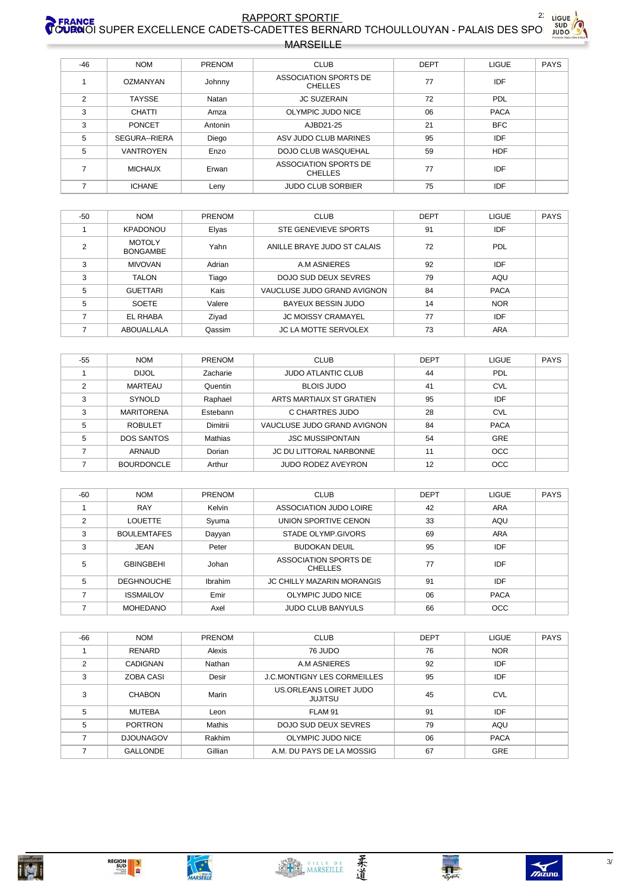## RAPPORT SPORTIE<br>COURNOI SUPER EXCELLENCE CADETS-CADETTES BERNARD TCHOULLOUYAN - PALAIS DES SPO **MARSEILLE**



| $-46$ | <b>NOM</b>       | PRENOM  | <b>CLUB</b>                             | <b>DEPT</b> | LIGUE       | <b>PAYS</b> |
|-------|------------------|---------|-----------------------------------------|-------------|-------------|-------------|
|       | OZMANYAN         | Johnny  | ASSOCIATION SPORTS DE<br><b>CHELLES</b> | 77          | <b>IDF</b>  |             |
| 2     | <b>TAYSSE</b>    | Natan   | <b>JC SUZERAIN</b>                      | 72          | <b>PDL</b>  |             |
| 3     | <b>CHATTI</b>    | Amza    | OLYMPIC JUDO NICE                       | 06          | <b>PACA</b> |             |
| 3     | <b>PONCET</b>    | Antonin | AJBD21-25                               | 21          | <b>BFC</b>  |             |
| 5     | SEGURA--RIERA    | Diego   | ASV JUDO CLUB MARINES                   | 95          | IDF         |             |
| 5     | <b>VANTROYEN</b> | Enzo    | <b>DOJO CLUB WASQUEHAL</b>              | 59          | <b>HDF</b>  |             |
| ⇁     | <b>MICHAUX</b>   | Erwan   | ASSOCIATION SPORTS DE<br><b>CHELLES</b> | 77          | IDF         |             |
|       | <b>ICHANE</b>    | Leny    | <b>JUDO CLUB SORBIER</b>                | 75          | IDF         |             |

| $-50$ | <b>NOM</b>                       | <b>PRENOM</b> | <b>CLUB</b>                 | <b>DEPT</b> | <b>LIGUE</b> | <b>PAYS</b> |
|-------|----------------------------------|---------------|-----------------------------|-------------|--------------|-------------|
|       | <b>KPADONOU</b>                  | Elyas         | STE GENEVIEVE SPORTS        | 91          | IDF          |             |
| 2     | <b>MOTOLY</b><br><b>BONGAMBE</b> | Yahn          | ANILLE BRAYE JUDO ST CALAIS | 72          | PDL          |             |
| 3     | <b>MIVOVAN</b>                   | Adrian        | A.M ASNIERES                | 92          | IDF          |             |
| 3     | <b>TALON</b>                     | Tiago         | DOJO SUD DEUX SEVRES        | 79          | AQU          |             |
| 5     | <b>GUETTARI</b>                  | Kais          | VAUCLUSE JUDO GRAND AVIGNON | 84          | <b>PACA</b>  |             |
| 5     | <b>SOETE</b>                     | Valere        | BAYEUX BESSIN JUDO          | 14          | <b>NOR</b>   |             |
|       | EL RHABA                         | Ziyad         | <b>JC MOISSY CRAMAYEL</b>   | 77          | IDF          |             |
|       | ABOUALLALA                       | Qassim        | <b>JC LA MOTTE SERVOLEX</b> | 73          | <b>ARA</b>   |             |

| $-55$ | <b>NOM</b>        | <b>PRENOM</b> | <b>CLUB</b>                 | <b>DEPT</b> | <b>LIGUE</b> | <b>PAYS</b> |
|-------|-------------------|---------------|-----------------------------|-------------|--------------|-------------|
|       | <b>DIJOL</b>      | Zacharie      | <b>JUDO ATLANTIC CLUB</b>   | 44          | <b>PDL</b>   |             |
| ∩     | MARTEAU           | Quentin       | <b>BLOIS JUDO</b>           | 41          | <b>CVL</b>   |             |
| 3     | SYNOLD            | Raphael       | ARTS MARTIAUX ST GRATIEN    | 95          | IDF          |             |
| 3     | <b>MARITORENA</b> | Estebann      | C CHARTRES JUDO             | 28          | <b>CVL</b>   |             |
| 5     | <b>ROBULET</b>    | Dimitrii      | VAUCLUSE JUDO GRAND AVIGNON | 84          | <b>PACA</b>  |             |
| 5     | <b>DOS SANTOS</b> | Mathias       | <b>JSC MUSSIPONTAIN</b>     | 54          | <b>GRE</b>   |             |
|       | <b>ARNAUD</b>     | Dorian        | JC DU LITTORAL NARBONNE     | 11          | <b>OCC</b>   |             |
|       | <b>BOURDONCLE</b> | Arthur        | JUDO RODEZ AVEYRON          | 12          | <b>OCC</b>   |             |

| $-60$ | <b>NOM</b>         | <b>PRENOM</b> | <b>CLUB</b>                             | <b>DEPT</b> | LIGUE       | <b>PAYS</b> |
|-------|--------------------|---------------|-----------------------------------------|-------------|-------------|-------------|
|       | <b>RAY</b>         | Kelvin        | ASSOCIATION JUDO LOIRE                  | 42          | <b>ARA</b>  |             |
| C     | <b>LOUETTE</b>     | Syuma         | UNION SPORTIVE CENON                    | 33          | AQU         |             |
| 3     | <b>BOULEMTAFES</b> | Dayyan        | STADE OLYMP GIVORS                      | 69          | <b>ARA</b>  |             |
| 3     | JEAN               | Peter         | <b>BUDOKAN DEUIL</b>                    | 95          | IDF         |             |
| 5     | <b>GBINGBEHI</b>   | Johan         | ASSOCIATION SPORTS DE<br><b>CHELLES</b> | 77          | IDF         |             |
| 5     | <b>DEGHNOUCHE</b>  | Ibrahim       | <b>JC CHILLY MAZARIN MORANGIS</b>       | 91          | IDF         |             |
|       | <b>ISSMAILOV</b>   | Emir          | OLYMPIC JUDO NICE                       | 06          | <b>PACA</b> |             |
|       | <b>MOHEDANO</b>    | Axel          | <b>JUDO CLUB BANYULS</b>                | 66          | <b>OCC</b>  |             |

| $-66$ | <b>NOM</b>       | <b>PRENOM</b> | <b>CLUB</b>                              | <b>DEPT</b> | <b>LIGUE</b> | <b>PAYS</b> |
|-------|------------------|---------------|------------------------------------------|-------------|--------------|-------------|
|       | RENARD           | Alexis        | 76 JUDO                                  | 76          | <b>NOR</b>   |             |
| 2     | <b>CADIGNAN</b>  | Nathan        | A.M ASNIERES                             | 92          | IDF          |             |
| 3     | ZOBA CASI        | Desir         | <b>J.C.MONTIGNY LES CORMEILLES</b>       | 95          | <b>IDF</b>   |             |
| 3     | <b>CHABON</b>    | Marin         | US.ORLEANS LOIRET JUDO<br><b>JUJITSU</b> | 45          | <b>CVL</b>   |             |
| 5     | <b>MUTEBA</b>    | Leon          | FLAM 91                                  | 91          | <b>IDF</b>   |             |
| 5     | <b>PORTRON</b>   | <b>Mathis</b> | DOJO SUD DEUX SEVRES                     | 79          | AQU          |             |
|       | <b>DJOUNAGOV</b> | Rakhim        | OLYMPIC JUDO NICE                        | 06          | <b>PACA</b>  |             |
|       | <b>GALLONDE</b>  | Gillian       | A.M. DU PAYS DE LA MOSSIG                | 67          | <b>GRE</b>   |             |





柔道



 $\frac{1}{5}$